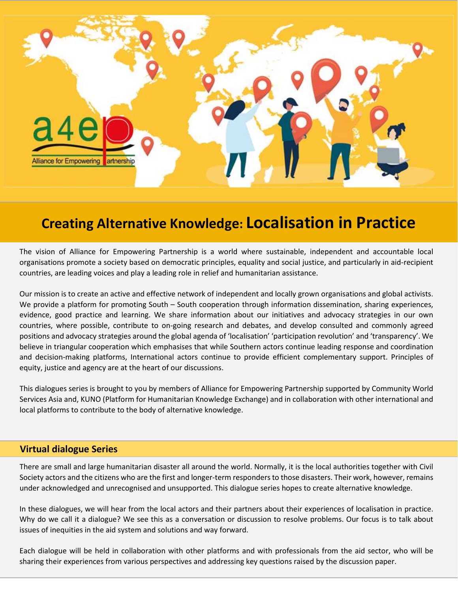

## **Creating Alternative Knowledge: Localisation in Practice**

The vision of Alliance for Empowering Partnership is a world where sustainable, independent and accountable local organisations promote a society based on democratic principles, equality and social justice, and particularly in aid-recipient countries, are leading voices and play a leading role in relief and humanitarian assistance.

Our mission is to create an active and effective network of independent and locally grown organisations and global activists. We provide a platform for promoting South – South cooperation through information dissemination, sharing experiences, evidence, good practice and learning. We share information about our initiatives and advocacy strategies in our own countries, where possible, contribute to on-going research and debates, and develop consulted and commonly agreed positions and advocacy strategies around the global agenda of 'localisation' 'participation revolution' and 'transparency'. We believe in triangular cooperation which emphasises that while Southern actors continue leading response and coordination and decision-making platforms, International actors continue to provide efficient complementary support. Principles of equity, justice and agency are at the heart of our discussions.

This dialogues series is brought to you by members of Alliance for Empowering Partnership supported by Community World Services Asia and, KUNO (Platform for Humanitarian Knowledge Exchange) and in collaboration with other international and local platforms to contribute to the body of alternative knowledge.

## **Virtual dialogue Series**

There are small and large humanitarian disaster all around the world. Normally, it is the local authorities together with Civil Society actors and the citizens who are the first and longer-term responders to those disasters. Their work, however, remains under acknowledged and unrecognised and unsupported. This dialogue series hopes to create alternative knowledge.

In these dialogues, we will hear from the local actors and their partners about their experiences of localisation in practice. Why do we call it a dialogue? We see this as a conversation or discussion to resolve problems. Our focus is to talk about issues of inequities in the aid system and solutions and way forward.

Each dialogue will be held in collaboration with other platforms and with professionals from the aid sector, who will be sharing their experiences from various perspectives and addressing key questions raised by the discussion paper.